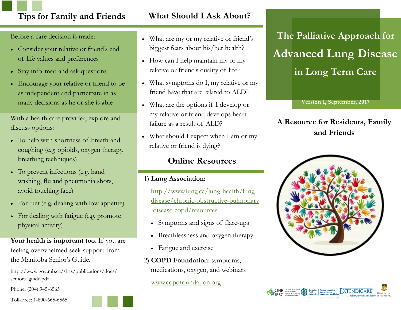# **Tips for Family and Friends What Should I Ask About?**

Before a care decision is made:

- Consider your relative or friend's end of life values and preferences
- Stay informed and ask questions
- Encourage your relative or friend to be as independent and participate in as many decisions as he or she is able

With a health care provider, explore and discuss options:

- To help with shortness of breath and coughing (e.g. opioids, oxygen therapy, breathing techniques)
- To prevent infections (e.g. hand washing, flu and pneumonia shots, avoid touching face)
- For diet (e.g. dealing with low appetite)
- For dealing with fatigue (e.g. promote physical activity)

Your health is important too. If you are feeling overwhelmed seek support from the Manitoba Senior's Guide.

http://www.gov.mb.ca/shas/publications/docs/ seniors\_guide.pdf

Phone: (204) 945-6565

Toll-Free: 1-800-665-6565



- How can I help maintain my or my relative or friend's quality of life?
- What symptoms do I, my relative or my friend have that are related to ALD?
- What are the options if I develop or my relative or friend develops heart failure as a result of ALD?
- What should I expect when I am or my relative or friend is dying?

# **Online Resources**

#### 1) **Lung Association**:

[http://www.lung.ca/lung-health/lung](http://www.lung.ca/lung-health/lung-disease/chronic-obstructive-pulmonary-disease-copd/resources)[disease/chronic-obstructive-pulmonary](http://www.lung.ca/lung-health/lung-disease/chronic-obstructive-pulmonary-disease-copd/resources) [-disease-copd/resources](http://www.lung.ca/lung-health/lung-disease/chronic-obstructive-pulmonary-disease-copd/resources)

- Symptoms and signs of flare-ups
- Breathlessness and oxygen therapy
- Fatigue and exercise
- 2) **COPD Foundation**: symptoms, medications, oxygen, and webinars

[www.copdfoundation.org](http://www.copdfoundation.org)

**The Palliative Approach for Advanced Lung Disease in Long Term Care**

**Version 1, September, 2017**

## **A Resource for Residents, Family and Friends**